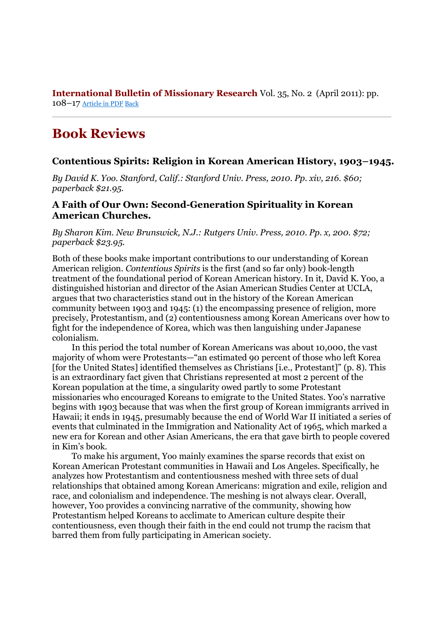**International Bulletin of Missionary Research** Vol. 35, No. 2 (April 2011): pp. 108–17 Article in PDF Back

## **Book Reviews**

## **Contentious Spirits: Religion in Korean American History, 1903–1945.**

*By David K. Yoo. Stanford, Calif.: Stanford Univ. Press, 2010. Pp. xiv, 216. \$60; paperback \$21.95.*

## **A Faith of Our Own: Second-Generation Spirituality in Korean American Churches.**

*By Sharon Kim. New Brunswick, N.J.: Rutgers Univ. Press, 2010. Pp. x, 200. \$72; paperback \$23.95.*

Both of these books make important contributions to our understanding of Korean American religion. *Contentious Spirits* is the first (and so far only) book-length treatment of the foundational period of Korean American history. In it, David K. Yoo, a distinguished historian and director of the Asian American Studies Center at UCLA, argues that two characteristics stand out in the history of the Korean American community between 1903 and 1945: (1) the encompassing presence of religion, more precisely, Protestantism, and (2) contentiousness among Korean Americans over how to fight for the independence of Korea, which was then languishing under Japanese colonialism.

In this period the total number of Korean Americans was about 10,000, the vast majority of whom were Protestants—"an estimated 90 percent of those who left Korea [for the United States] identified themselves as Christians [i.e., Protestant]" (p. 8). This is an extraordinary fact given that Christians represented at most 2 percent of the Korean population at the time, a singularity owed partly to some Protestant missionaries who encouraged Koreans to emigrate to the United States. Yoo's narrative begins with 1903 because that was when the first group of Korean immigrants arrived in Hawaii; it ends in 1945, presumably because the end of World War II initiated a series of events that culminated in the Immigration and Nationality Act of 1965, which marked a new era for Korean and other Asian Americans, the era that gave birth to people covered in Kim's book.

To make his argument, Yoo mainly examines the sparse records that exist on Korean American Protestant communities in Hawaii and Los Angeles. Specifically, he analyzes how Protestantism and contentiousness meshed with three sets of dual relationships that obtained among Korean Americans: migration and exile, religion and race, and colonialism and independence. The meshing is not always clear. Overall, however, Yoo provides a convincing narrative of the community, showing how Protestantism helped Koreans to acclimate to American culture despite their contentiousness, even though their faith in the end could not trump the racism that barred them from fully participating in American society.